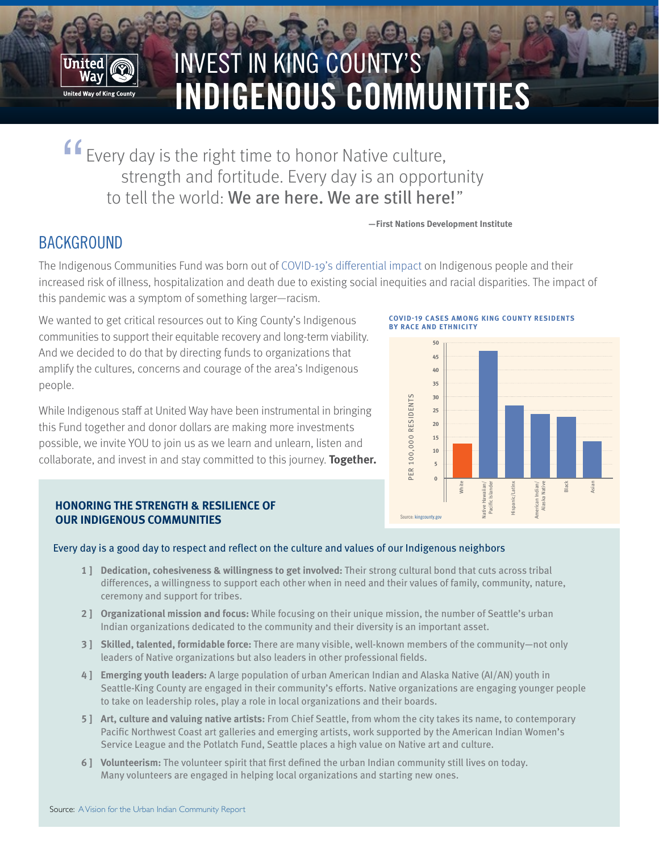

# INVEST IN KING COUNTY'S **INDIGENOUS COMMUNITIES**

Every day is the right time to honor Native culture, strength and fortitude. Every day is an opportunity to tell the world: We are here. We are still here!" "

#### **—First Nations Development Institute**

## **BACKGROUND**

The Indigenous Communities Fund was born out of [COVID-19's differential impact](https://publichealthinsider.com/2020/05/01/new-analysis-shows-pronounced-racial-inequities-among-covid-19-cases-hospitalizations-and-deaths/ ) on Indigenous people and their increased risk of illness, hospitalization and death due to existing social inequities and racial disparities. The impact of this pandemic was a symptom of something larger—racism.

We wanted to get critical resources out to King County's Indigenous communities to support their equitable recovery and long-term viability. And we decided to do that by directing funds to organizations that amplify the cultures, concerns and courage of the area's Indigenous people.

While Indigenous staff at United Way have been instrumental in bringing this Fund together and donor dollars are making more investments possible, we invite YOU to join us as we learn and unlearn, listen and collaborate, and invest in and stay committed to this journey. **Together.**

#### **COVID-19 CASES AMONG KING COUNTY RESIDENTS BY RACE AND ETHNICITY**



### **HONORING THE STRENGTH & RESILIENCE OF OUR INDIGENOUS COMMUNITIES**

#### Every day is a good day to respect and reflect on the culture and values of our Indigenous neighbors

- **1 ] Dedication, cohesiveness & willingness to get involved:** Their strong cultural bond that cuts across tribal differences, a willingness to support each other when in need and their values of family, community, nature, ceremony and support for tribes.
- **2 ] Organizational mission and focus:** While focusing on their unique mission, the number of Seattle's urban Indian organizations dedicated to the community and their diversity is an important asset.
- **3 ] Skilled, talented, formidable force:** There are many visible, well-known members of the community—not only leaders of Native organizations but also leaders in other professional fields.
- **4 ] Emerging youth leaders:** A large population of urban American Indian and Alaska Native (AI/AN) youth in Seattle-King County are engaged in their community's efforts. Native organizations are engaging younger people to take on leadership roles, play a role in local organizations and their boards.
- **5 ] Art, culture and valuing native artists:** From Chief Seattle, from whom the city takes its name, to contemporary Pacific Northwest Coast art galleries and emerging artists, work supported by the American Indian Women's Service League and the Potlatch Fund, Seattle places a high value on Native art and culture.
- **6 ] Volunteerism:** The volunteer spirit that first defined the urban Indian community still lives on today. Many volunteers are engaged in helping local organizations and starting new ones.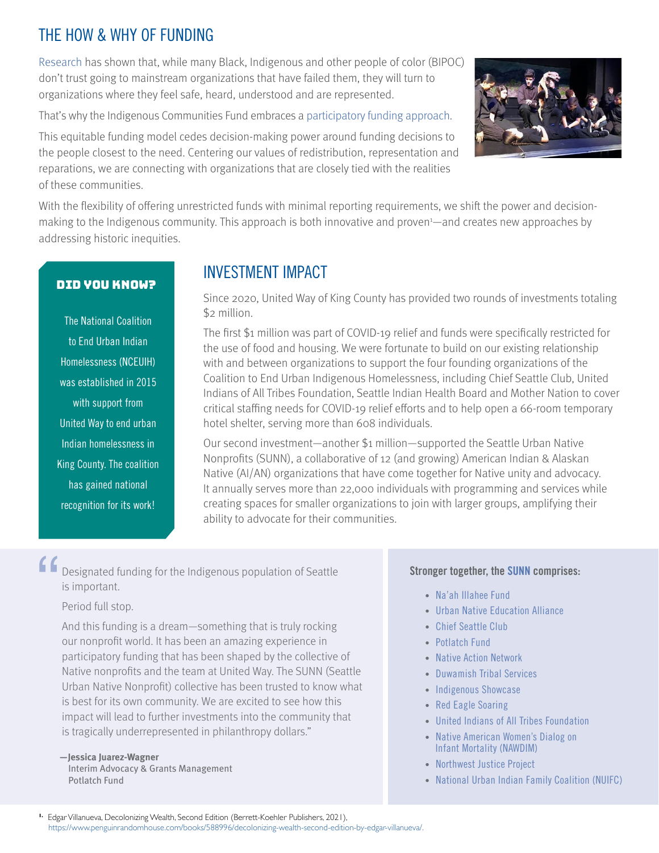## THE HOW & WHY OF FUNDING

[Research](https://www.cdc.gov/coronavirus/2019-ncov/community/health-equity/racial-ethnic-disparities/increased-risk-illness.html) has shown that, while many Black, Indigenous and other people of color (BIPOC) don't trust going to mainstream organizations that have failed them, they will turn to organizations where they feel safe, heard, understood and are represented.

That's why the Indigenous Communities Fund embraces a [participatory funding approach](https://www.participatorygrantmaking.org).

This equitable funding model cedes decision-making power around funding decisions to the people closest to the need. Centering our values of redistribution, representation and reparations, we are connecting with organizations that are closely tied with the realities of these communities.



With the flexibility of offering unrestricted funds with minimal reporting requirements, we shift the power and decisionmaking to the Indigenous community. This approach is both innovative and proven<sup>1</sup>—and creates new approaches by addressing historic inequities.

## DID YOU KNOW?

The National Coalition to End Urban Indian Homelessness (NCEUIH) was established in 2015 with support from United Way to end urban Indian homelessness in King County. The coalition has gained national recognition for its work!

## INVESTMENT IMPACT

Since 2020, United Way of King County has provided two rounds of investments totaling \$2 million.

The first \$1 million was part of COVID-19 relief and funds were specifically restricted for the use of food and housing. We were fortunate to build on our existing relationship with and between organizations to support the four founding organizations of the Coalition to End Urban Indigenous Homelessness, including Chief Seattle Club, United Indians of All Tribes Foundation, Seattle Indian Health Board and Mother Nation to cover critical staffing needs for COVID-19 relief efforts and to help open a 66-room temporary hotel shelter, serving more than 608 individuals.

Our second investment—another \$1 million—supported the Seattle Urban Native Nonprofits (SUNN), a collaborative of 12 (and growing) American Indian & Alaskan Native (AI/AN) organizations that have come together for Native unity and advocacy. It annually serves more than 22,000 individuals with programming and services while creating spaces for smaller organizations to join with larger groups, amplifying their ability to advocate for their communities.

Designated funding for the Indigenous population of Seattle is important. "

## Period full stop.

And this funding is a dream—something that is truly rocking our nonprofit world. It has been an amazing experience in participatory funding that has been shaped by the collective of Native nonprofits and the team at United Way. The SUNN (Seattle Urban Native Nonprofit) collective has been trusted to know what is best for its own community. We are excited to see how this impact will lead to further investments into the community that is tragically underrepresented in philanthropy dollars."

#### **—Jessica Juarez-Wagner** Interim Advocacy & Grants Management Potlatch Fund

### **Stronger together, the [SUNN](https://seattleurbannatives.org/members/) comprises:**

- [Na'ah Illahee Fund](https://www.naahillahee.org)
- [Urban Native Education Alliance](https://www.urbannativeeducation.org)
- [Chief Seattle Club](https://www.chiefseattleclub.org)
- [Potlatch Fund](https://www.potlatchfund.org)
- [Native Action Network](https://nativeactionnetwork.org)
- [Duwamish Tribal Services](https://www.duwamishtribe.org)
- [Indigenous Showcase](https://www.indigenousshowcase.org)
- [Red Eagle Soaring](https://www.redeaglesoaring.org)
- [United Indians of All Tribes Foundation](https://unitedindians.org)
- [Native American Women's Dialog on](https://www.facebook.com/Nawdim)   [Infant Mortality \(NAWDIM\)](https://www.facebook.com/Nawdim)
- [Northwest Justice Project](https://nwjustice.org/home)
- [National Urban Indian Family Coalition \(NUIFC\)](https://www.nuifc.org)

**1.** Edgar Villanueva, Decolonizing Wealth, Second Edition (Berrett-Koehler Publishers, 2021), <https://www.penguinrandomhouse.com/books/588996/decolonizing-wealth-second-edition-by-edgar-villanueva/>.